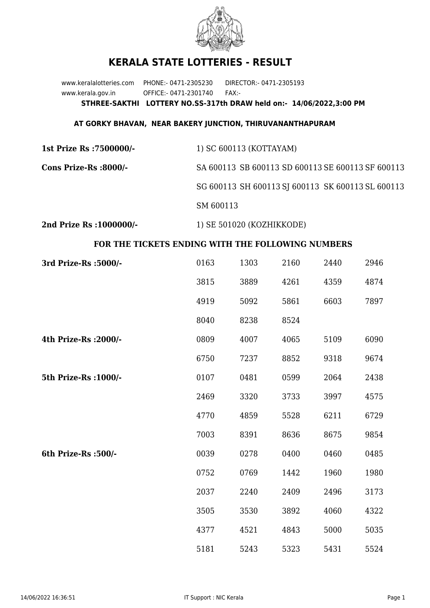

## **KERALA STATE LOTTERIES - RESULT**

www.keralalotteries.com PHONE:- 0471-2305230 DIRECTOR:- 0471-2305193 www.kerala.gov.in OFFICE:- 0471-2301740 FAX:- **STHREE-SAKTHI LOTTERY NO.SS-317th DRAW held on:- 14/06/2022,3:00 PM**

## **AT GORKY BHAVAN, NEAR BAKERY JUNCTION, THIRUVANANTHAPURAM**

| 1st Prize Rs :7500000/- | 1) SC 600113 (KOTTAYAM)                           |
|-------------------------|---------------------------------------------------|
| Cons Prize-Rs :8000/-   | SA 600113 SB 600113 SD 600113 SE 600113 SF 600113 |
|                         | SG 600113 SH 600113 SJ 600113 SK 600113 SL 600113 |
|                         | SM 600113                                         |
|                         |                                                   |

**2nd Prize Rs :1000000/-** 1) SE 501020 (KOZHIKKODE)

## **FOR THE TICKETS ENDING WITH THE FOLLOWING NUMBERS**

| 3rd Prize-Rs : 5000/- | 0163 | 1303 | 2160 | 2440 | 2946 |
|-----------------------|------|------|------|------|------|
|                       | 3815 | 3889 | 4261 | 4359 | 4874 |
|                       | 4919 | 5092 | 5861 | 6603 | 7897 |
|                       | 8040 | 8238 | 8524 |      |      |
| 4th Prize-Rs : 2000/- | 0809 | 4007 | 4065 | 5109 | 6090 |
|                       | 6750 | 7237 | 8852 | 9318 | 9674 |
| 5th Prize-Rs : 1000/- | 0107 | 0481 | 0599 | 2064 | 2438 |
|                       | 2469 | 3320 | 3733 | 3997 | 4575 |
|                       | 4770 | 4859 | 5528 | 6211 | 6729 |
|                       | 7003 | 8391 | 8636 | 8675 | 9854 |
| 6th Prize-Rs :500/-   | 0039 | 0278 | 0400 | 0460 | 0485 |
|                       | 0752 | 0769 | 1442 | 1960 | 1980 |
|                       | 2037 | 2240 | 2409 | 2496 | 3173 |
|                       | 3505 | 3530 | 3892 | 4060 | 4322 |
|                       | 4377 | 4521 | 4843 | 5000 | 5035 |
|                       | 5181 | 5243 | 5323 | 5431 | 5524 |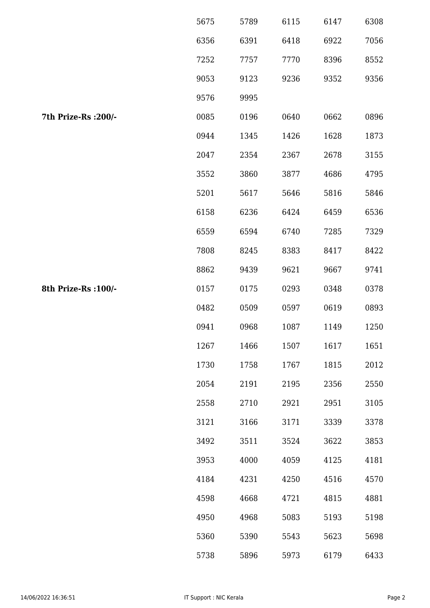|                      | 5675 | 5789 | 6115 | 6147 | 6308 |
|----------------------|------|------|------|------|------|
|                      | 6356 | 6391 | 6418 | 6922 | 7056 |
|                      | 7252 | 7757 | 7770 | 8396 | 8552 |
|                      | 9053 | 9123 | 9236 | 9352 | 9356 |
|                      | 9576 | 9995 |      |      |      |
| 7th Prize-Rs : 200/- | 0085 | 0196 | 0640 | 0662 | 0896 |
|                      | 0944 | 1345 | 1426 | 1628 | 1873 |
|                      | 2047 | 2354 | 2367 | 2678 | 3155 |
|                      | 3552 | 3860 | 3877 | 4686 | 4795 |
|                      | 5201 | 5617 | 5646 | 5816 | 5846 |
|                      | 6158 | 6236 | 6424 | 6459 | 6536 |
|                      | 6559 | 6594 | 6740 | 7285 | 7329 |
|                      | 7808 | 8245 | 8383 | 8417 | 8422 |
|                      | 8862 | 9439 | 9621 | 9667 | 9741 |
| 8th Prize-Rs : 100/- | 0157 | 0175 | 0293 | 0348 | 0378 |
|                      | 0482 | 0509 | 0597 | 0619 | 0893 |
|                      | 0941 | 0968 | 1087 | 1149 | 1250 |
|                      | 1267 | 1466 | 1507 | 1617 | 1651 |
|                      | 1730 | 1758 | 1767 | 1815 | 2012 |
|                      | 2054 | 2191 | 2195 | 2356 | 2550 |
|                      | 2558 | 2710 | 2921 | 2951 | 3105 |
|                      | 3121 | 3166 | 3171 | 3339 | 3378 |
|                      | 3492 | 3511 | 3524 | 3622 | 3853 |
|                      | 3953 | 4000 | 4059 | 4125 | 4181 |
|                      | 4184 | 4231 | 4250 | 4516 | 4570 |
|                      | 4598 | 4668 | 4721 | 4815 | 4881 |
|                      | 4950 | 4968 | 5083 | 5193 | 5198 |
|                      | 5360 | 5390 | 5543 | 5623 | 5698 |
|                      | 5738 | 5896 | 5973 | 6179 | 6433 |